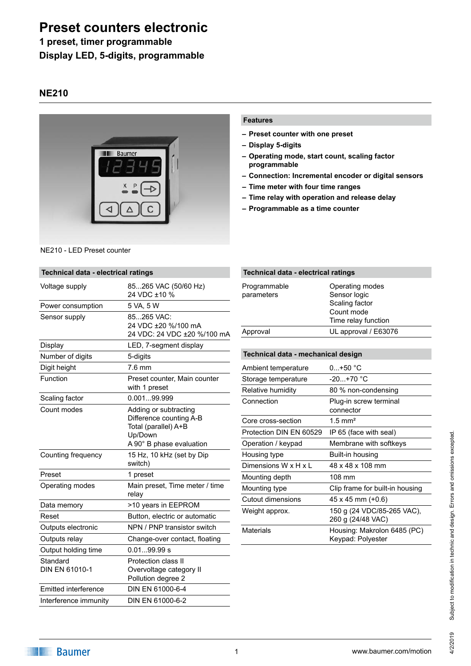# **Preset counters electronic**

### **1 preset, timer programmable Display LED, 5-digits, programmable**

### **NE210**



NE210 - LED Preset counter

## **Features**

- **– Preset counter with one preset**
- **– Display 5-digits**
- **– Operating mode, start count, scaling factor programmable**
- **– Connection: Incremental encoder or digital sensors**
- **– Time meter with four time ranges**
- **– Time relay with operation and release delay**
- **– Programmable as a time counter**

| Technical data - electrical ratings |                                                                                                                 |  |
|-------------------------------------|-----------------------------------------------------------------------------------------------------------------|--|
| Voltage supply                      | 85265 VAC (50/60 Hz)<br>24 VDC ±10 %                                                                            |  |
| Power consumption                   | 5 VA, 5 W                                                                                                       |  |
| Sensor supply                       | 85265 VAC:<br>24 VDC ±20 %/100 mA<br>24 VDC: 24 VDC ±20 %/100 mA                                                |  |
| <b>Display</b>                      | LED, 7-segment display                                                                                          |  |
| Number of digits                    | 5-digits                                                                                                        |  |
| Digit height                        | $7.6$ mm                                                                                                        |  |
| Function                            | Preset counter, Main counter<br>with 1 preset                                                                   |  |
| Scaling factor                      | 0.00199.999                                                                                                     |  |
| Count modes                         | Adding or subtracting<br>Difference counting A-B<br>Total (parallel) A+B<br>Up/Down<br>A 90° B phase evaluation |  |
| Counting frequency                  | 15 Hz, 10 kHz (set by Dip<br>switch)                                                                            |  |
| Preset                              | 1 preset                                                                                                        |  |
| Operating modes                     | Main preset, Time meter / time<br>relay                                                                         |  |
| Data memory                         | >10 years in EEPROM                                                                                             |  |
| Reset                               | Button, electric or automatic                                                                                   |  |
| Outputs electronic                  | NPN / PNP transistor switch                                                                                     |  |
| Outputs relay                       | Change-over contact, floating                                                                                   |  |
| Output holding time                 | 0.0199.99 s                                                                                                     |  |
| Standard<br>DIN EN 61010-1          | Protection class II<br>Overvoltage category II<br>Pollution degree 2                                            |  |
| Emitted interference                | DIN EN 61000-6-4                                                                                                |  |
| Interference immunity               | DIN EN 61000-6-2                                                                                                |  |
|                                     |                                                                                                                 |  |

# **Technical data - electrical ratings**

| Programmable<br>parameters | Operating modes<br>Sensor logic<br>Scaling factor<br>Count mode<br>Time relay function |
|----------------------------|----------------------------------------------------------------------------------------|
| Approval                   | UL approval / E63076                                                                   |
|                            |                                                                                        |

### **Technical data - mechanical design**

| Ambient temperature     | $0+50 °C$                                        |
|-------------------------|--------------------------------------------------|
| Storage temperature     | $-20. +70$ °C                                    |
| Relative humidity       | 80 % non-condensing                              |
| Connection              | Plug-in screw terminal<br>connector              |
| Core cross-section      | $1.5$ mm <sup>2</sup>                            |
| Protection DIN EN 60529 | IP 65 (face with seal)                           |
| Operation / keypad      | Membrane with softkeys                           |
| Housing type            | Built-in housing                                 |
| Dimensions W x H x L    | 48 x 48 x 108 mm                                 |
| Mounting depth          | 108 mm                                           |
| Mounting type           | Clip frame for built-in housing                  |
| Cutout dimensions       | 45 x 45 mm (+0.6)                                |
| Weight approx.          | 150 g (24 VDC/85-265 VAC),<br>260 g (24/48 VAC)  |
| Materials               | Housing: Makrolon 6485 (PC)<br>Keypad: Polyester |
|                         |                                                  |